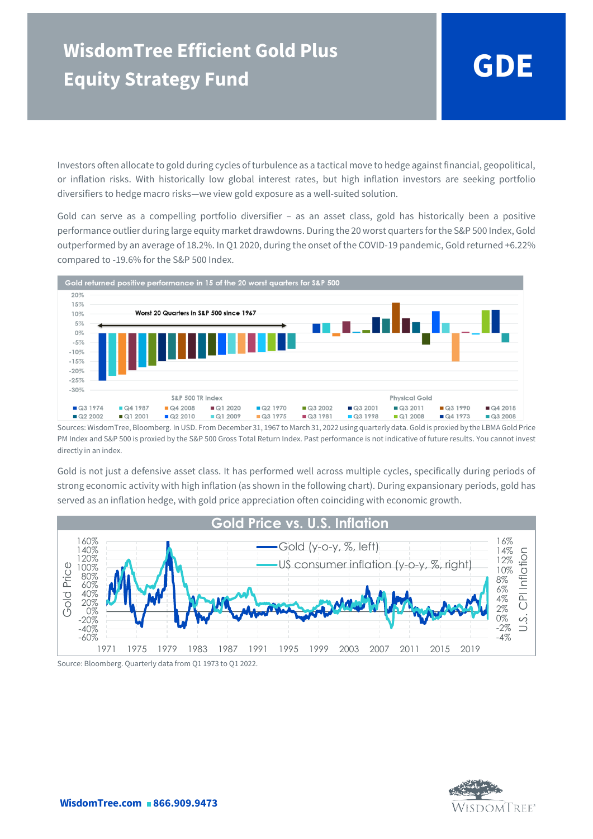Investors often allocate to gold during cycles of turbulence as a tactical move to hedge against financial, geopolitical, or inflation risks. With historically low global interest rates, but high inflation investors are seeking portfolio diversifiers to hedge macro risks—we view gold exposure as a well-suited solution.

Gold can serve as a compelling portfolio diversifier – as an asset class, gold has historically been a positive performance outlier during large equity market drawdowns. During the 20 worst quarters for the S&P 500 Index, Gold outperformed by an average of 18.2%. In Q1 2020, during the onset of the COVID-19 pandemic, Gold returned +6.22% compared to -19.6% for the S&P 500 Index.



Sources: WisdomTree, Bloomberg. In USD. From December 31, 1967 to March 31, 2022 using quarterly data. Gold is proxied by the LBMA Gold Price PM Index and S&P 500 is proxied by the S&P 500 Gross Total Return Index. Past performance is not indicative of future results. You cannot invest directly in an index.

Gold is not just a defensive asset class. It has performed well across multiple cycles, specifically during periods of strong economic activity with high inflation (as shown in the following chart). During expansionary periods, gold has served as an inflation hedge, with gold price appreciation often coinciding with economic growth.



Source: Bloomberg. Quarterly data from Q1 1973 to Q1 2022.

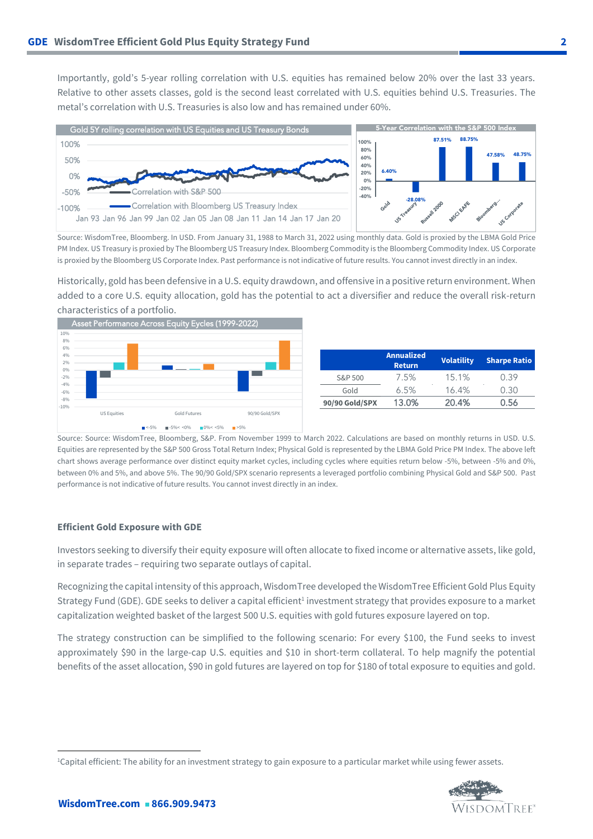Importantly, gold's 5-year rolling correlation with U.S. equities has remained below 20% over the last 33 years. Relative to other assets classes, gold is the second least correlated with U.S. equities behind U.S. Treasuries. The metal's correlation with U.S. Treasuries is also low and has remained under 60%.



Source: WisdomTree, Bloomberg. In USD. From January 31, 1988 to March 31, 2022 using monthly data. Gold is proxied by the LBMA Gold Price PM Index. US Treasury is proxied by The Bloomberg US Treasury Index. Bloomberg Commodity is the Bloomberg Commodity Index. US Corporate is proxied by the Bloomberg US Corporate Index. Past performance is not indicative of future results. You cannot invest directly in an index.

Historically, gold has been defensive in a U.S. equity drawdown, and offensive in a positive return environment. When added to a core U.S. equity allocation, gold has the potential to act a diversifier and reduce the overall risk-return characteristics of a portfolio.



|                | <b>Annualized</b><br><b>Return</b> | <b>Volatility</b> | <b>Sharpe Ratio</b> |
|----------------|------------------------------------|-------------------|---------------------|
| S&P 500        | 7.5%                               | 15.1%             | 0.39                |
| Gold           | 6.5%                               | 16.4%             | 0.30                |
| 90/90 Gold/SPX | 13.0%                              | 20.4%             | ) 56                |

Source: Source: WisdomTree, Bloomberg, S&P. From November 1999 to March 2022. Calculations are based on monthly returns in USD. U.S. Equities are represented by the S&P 500 Gross Total Return Index; Physical Gold is represented by the LBMA Gold Price PM Index. The above left chart shows average performance over distinct equity market cycles, including cycles where equities return below -5%, between -5% and 0%, between 0% and 5%, and above 5%. The 90/90 Gold/SPX scenario represents a leveraged portfolio combining Physical Gold and S&P 500. Past performance is not indicative of future results. You cannot invest directly in an index.

### **Efficient Gold Exposure with GDE**

Investors seeking to diversify their equity exposure will often allocate to fixed income or alternative assets, like gold, in separate trades – requiring two separate outlays of capital.

Recognizing the capital intensity of this approach, WisdomTree developed the WisdomTree Efficient Gold Plus Equity Strategy Fund (GDE). GDE seeks to deliver a capital efficient<sup>1</sup> investment strategy that provides exposure to a market capitalization weighted basket of the largest 500 U.S. equities with gold futures exposure layered on top.

The strategy construction can be simplified to the following scenario: For every \$100, the Fund seeks to invest approximately \$90 in the large-cap U.S. equities and \$10 in short-term collateral. To help magnify the potential benefits of the asset allocation, \$90 in gold futures are layered on top for \$180 of total exposure to equities and gold.

<sup>1</sup>Capital efficient: The ability for an investment strategy to gain exposure to a particular market while using fewer assets.

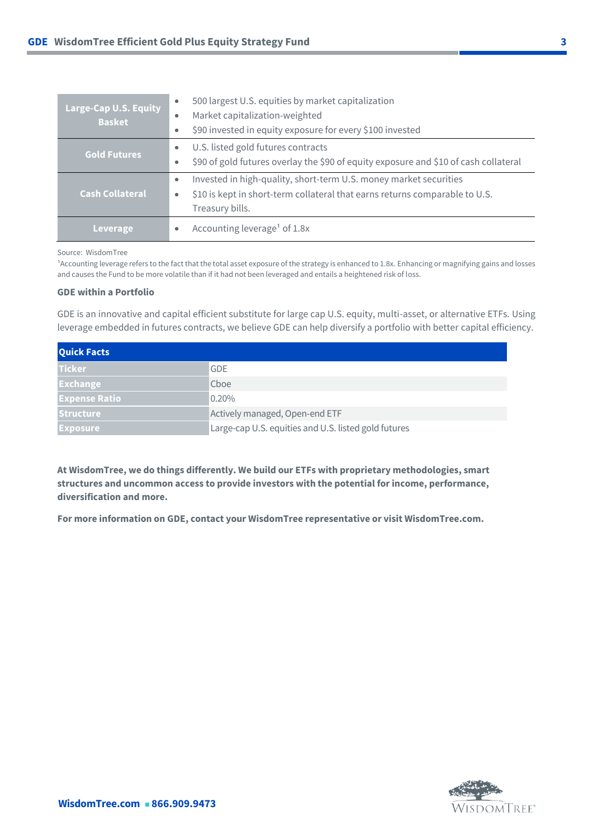| Large-Cap U.S. Equity<br><b>Basket</b> | 500 largest U.S. equities by market capitalization<br>$\bullet$<br>Market capitalization-weighted<br>\$90 invested in equity exposure for every \$100 invested<br>$\bullet$           |
|----------------------------------------|---------------------------------------------------------------------------------------------------------------------------------------------------------------------------------------|
| <b>Gold Futures</b>                    | U.S. listed gold futures contracts<br>$\bullet$<br>\$90 of gold futures overlay the \$90 of equity exposure and \$10 of cash collateral<br>۰                                          |
| <b>Cash Collateral</b>                 | Invested in high-quality, short-term U.S. money market securities<br>$\bullet$<br>\$10 is kept in short-term collateral that earns returns comparable to U.S.<br>۰<br>Treasury bills. |
| Leverage                               | Accounting leverage <sup>1</sup> of 1.8x<br>$\bullet$                                                                                                                                 |

### Source: WisdomTree

<sup>1</sup>Accounting leverage refers to the fact that the total asset exposure of the strategy is enhanced to 1.8x. Enhancing or magnifying gains and losses and causes the Fund to be more volatile than if it had not been leveraged and entails a heightened risk of loss.

## **GDE within a Portfolio**

GDE is an innovative and capital efficient substitute for large cap U.S. equity, multi-asset, or alternative ETFs. Using leverage embedded in futures contracts, we believe GDE can help diversify a portfolio with better capital efficiency.

| <b>Quick Facts</b>   |                                                      |  |
|----------------------|------------------------------------------------------|--|
| l Ticker             | <b>GDE</b>                                           |  |
| <b>Exchange</b>      | Choe                                                 |  |
| <b>Expense Ratio</b> | 0.20%                                                |  |
| <b>Structure</b>     | Actively managed, Open-end ETF                       |  |
| <b>Exposure</b>      | Large-cap U.S. equities and U.S. listed gold futures |  |

**At WisdomTree, we do things differently. We build our ETFs with proprietary methodologies, smart structures and uncommon access to provide investors with the potential for income, performance, diversification and more.** 

**For more information on GDE, contact your WisdomTree representative or visit WisdomTree.com.**

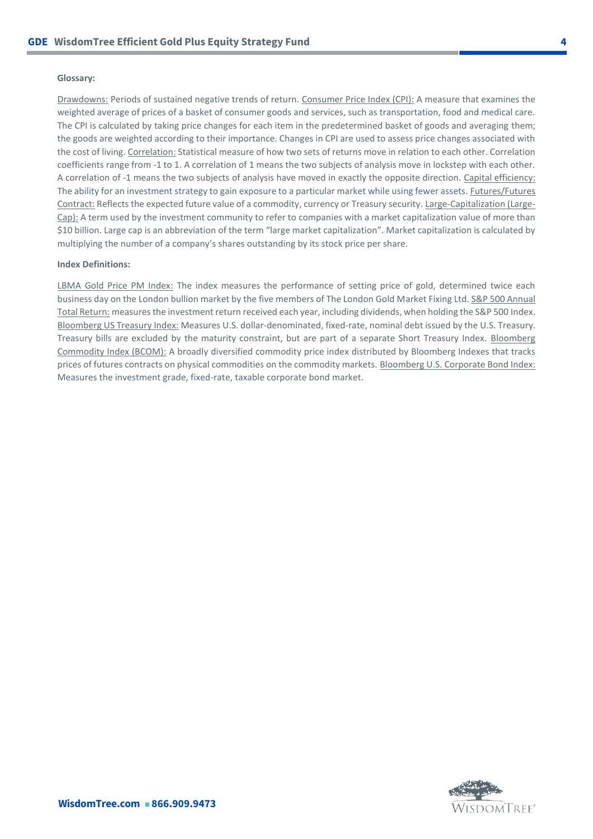## **Glossary:**

Drawdowns: Periods of sustained negative trends of return. Consumer Price Index (CPI): A measure that examines the weighted average of prices of a basket of consumer goods and services, such as transportation, food and medical care. The CPI is calculated by taking price changes for each item in the predetermined basket of goods and averaging them; the goods are weighted according to their importance. Changes in CPI are used to assess price changes associated with the cost of living. Correlation: Statistical measure of how two sets of returns move in relation to each other. Correlation coefficients range from -1 to 1. A correlation of 1 means the two subjects of analysis move in lockstep with each other. A correlation of -1 means the two subjects of analysis have moved in exactly the opposite direction. Capital efficiency: The ability for an investment strategy to gain exposure to a particular market while using fewer assets. Futures/Futures Contract: Reflects the expected future value of a commodity, currency or Treasury security. Large-Capitalization (Large-Cap): A term used by the investment community to refer to companies with a market capitalization value of more than \$10 billion. Large cap is an abbreviation of the term "large market capitalization". Market capitalization is calculated by multiplying the number of a company's shares outstanding by its stock price per share.

#### **Index Definitions:**

LBMA Gold Price PM Index: The index measures the performance of setting price of gold, determined twice each business day on the London bullion market by the five members of The London Gold Market Fixing Ltd. S&P 500 Annual Total Return: measures the investment return received each year, including dividends, when holding the S&P 500 Index. Bloomberg US Treasury Index: Measures U.S. dollar-denominated, fixed-rate, nominal debt issued by the U.S. Treasury. Treasury bills are excluded by the maturity constraint, but are part of a separate Short Treasury Index. Bloomberg Commodity Index (BCOM): A broadly diversified commodity price index distributed by Bloomberg Indexes that tracks prices of futures contracts on physical commodities on the commodity markets. Bloomberg U.S. Corporate Bond Index: Measures the investment grade, fixed-rate, taxable corporate bond market.